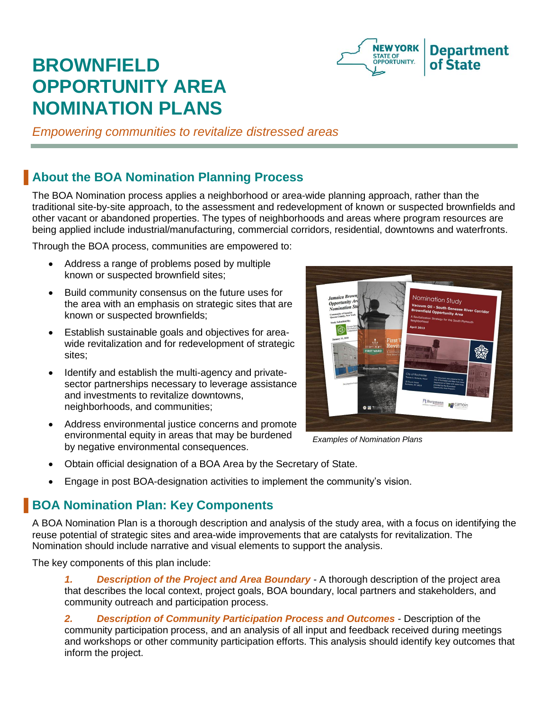

# **BROWNFIELD OPPORTUNITY AREA NOMINATION PLANS**

*Empowering communities to revitalize distressed areas*

### ▐ **About the BOA Nomination Planning Process**

The BOA Nomination process applies a neighborhood or area-wide planning approach, rather than the traditional site-by-site approach, to the assessment and redevelopment of known or suspected brownfields and other vacant or abandoned properties. The types of neighborhoods and areas where program resources are being applied include industrial/manufacturing, commercial corridors, residential, downtowns and waterfronts.

Through the BOA process, communities are empowered to:

- Address a range of problems posed by multiple known or suspected brownfield sites;
- Build community consensus on the future uses for the area with an emphasis on strategic sites that are known or suspected brownfields;
- Establish sustainable goals and objectives for areawide revitalization and for redevelopment of strategic sites;
- Identify and establish the multi-agency and privatesector partnerships necessary to leverage assistance and investments to revitalize downtowns, neighborhoods, and communities;
- Address environmental justice concerns and promote environmental equity in areas that may be burdened by negative environmental consequences.



*Examples of Nomination Plans*

- Obtain official designation of a BOA Area by the Secretary of State.
- Engage in post BOA-designation activities to implement the community's vision.

## **BOA Nomination Plan: Key Components**

A BOA Nomination Plan is a thorough description and analysis of the study area, with a focus on identifying the reuse potential of strategic sites and area-wide improvements that are catalysts for revitalization. The Nomination should include narrative and visual elements to support the analysis.

The key components of this plan include:

*1. Description of the Project and Area Boundary -* A thorough description of the project area that describes the local context, project goals, BOA boundary, local partners and stakeholders, and community outreach and participation process.

*2. Description of Community Participation Process and Outcomes -* Description of the community participation process, and an analysis of all input and feedback received during meetings and workshops or other community participation efforts. This analysis should identify key outcomes that inform the project.